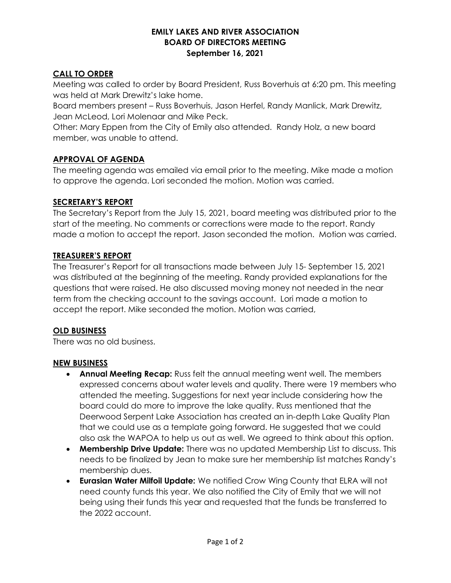#### EMILY LAKES AND RIVER ASSOCIATION BOARD OF DIRECTORS MEETING September 16, 2021

### CALL TO ORDER

Meeting was called to order by Board President, Russ Boverhuis at 6:20 pm. This meeting was held at Mark Drewitz's lake home.

Board members present – Russ Boverhuis, Jason Herfel, Randy Manlick, Mark Drewitz, Jean McLeod, Lori Molenaar and Mike Peck.

Other: Mary Eppen from the City of Emily also attended. Randy Holz, a new board member, was unable to attend.

### APPROVAL OF AGENDA

The meeting agenda was emailed via email prior to the meeting. Mike made a motion to approve the agenda. Lori seconded the motion. Motion was carried.

### SECRETARY'S REPORT

The Secretary's Report from the July 15, 2021, board meeting was distributed prior to the start of the meeting. No comments or corrections were made to the report. Randy made a motion to accept the report. Jason seconded the motion. Motion was carried.

### TREASURER'S REPORT

The Treasurer's Report for all transactions made between July 15- September 15, 2021 was distributed at the beginning of the meeting. Randy provided explanations for the questions that were raised. He also discussed moving money not needed in the near term from the checking account to the savings account. Lori made a motion to accept the report. Mike seconded the motion. Motion was carried,

# OLD BUSINESS

There was no old business.

# NEW BUSINESS

- **Annual Meeting Recap:** Russ felt the annual meeting went well. The members expressed concerns about water levels and quality. There were 19 members who attended the meeting. Suggestions for next year include considering how the board could do more to improve the lake quality. Russ mentioned that the Deerwood Serpent Lake Association has created an in-depth Lake Quality Plan that we could use as a template going forward. He suggested that we could also ask the WAPOA to help us out as well. We agreed to think about this option.
- Membership Drive Update: There was no updated Membership List to discuss. This needs to be finalized by Jean to make sure her membership list matches Randy's membership dues.
- Eurasian Water Milfoil Update: We notified Crow Wing County that ELRA will not need county funds this year. We also notified the City of Emily that we will not being using their funds this year and requested that the funds be transferred to the 2022 account.